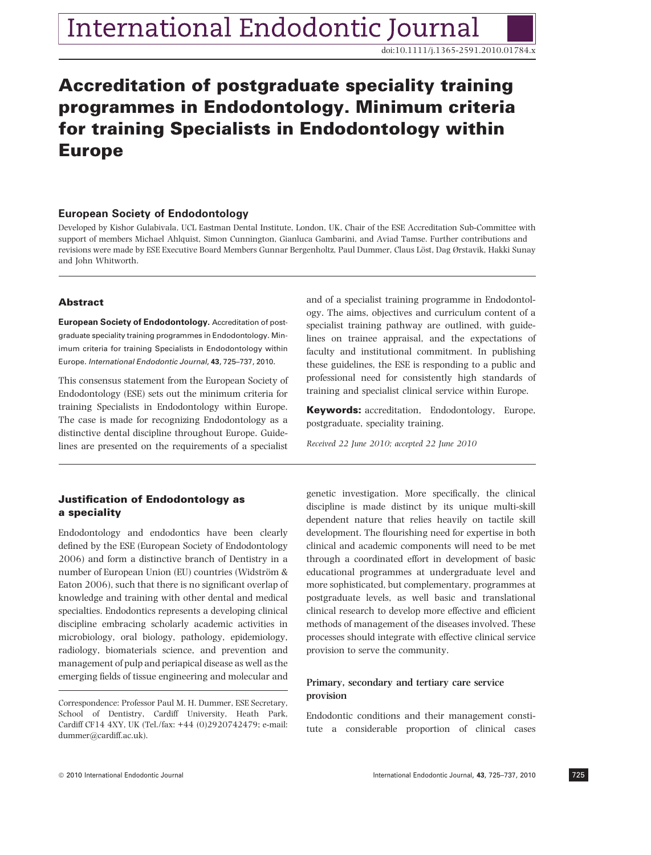doi:10.1111/j.1365-2591.2010.01784.x

# Accreditation of postgraduate speciality training programmes in Endodontology. Minimum criteria for training Specialists in Endodontology within Europe

# European Society of Endodontology

Developed by Kishor Gulabivala, UCL Eastman Dental Institute, London, UK, Chair of the ESE Accreditation Sub-Committee with support of members Michael Ahlquist, Simon Cunnington, Gianluca Gambarini, and Aviad Tamse. Further contributions and revisions were made by ESE Executive Board Members Gunnar Bergenholtz, Paul Dummer, Claus Löst, Dag Ørstavik, Hakki Sunay and John Whitworth.

# Abstract

European Society of Endodontology. Accreditation of postgraduate speciality training programmes in Endodontology. Minimum criteria for training Specialists in Endodontology within Europe. International Endodontic Journal, 43, 725–737, 2010.

This consensus statement from the European Society of Endodontology (ESE) sets out the minimum criteria for training Specialists in Endodontology within Europe. The case is made for recognizing Endodontology as a distinctive dental discipline throughout Europe. Guidelines are presented on the requirements of a specialist

# Justification of Endodontology as a speciality

Endodontology and endodontics have been clearly defined by the ESE (European Society of Endodontology 2006) and form a distinctive branch of Dentistry in a number of European Union (EU) countries (Widström & Eaton 2006), such that there is no significant overlap of knowledge and training with other dental and medical specialties. Endodontics represents a developing clinical discipline embracing scholarly academic activities in microbiology, oral biology, pathology, epidemiology, radiology, biomaterials science, and prevention and management of pulp and periapical disease as well as the emerging fields of tissue engineering and molecular and and of a specialist training programme in Endodontology. The aims, objectives and curriculum content of a specialist training pathway are outlined, with guidelines on trainee appraisal, and the expectations of faculty and institutional commitment. In publishing these guidelines, the ESE is responding to a public and professional need for consistently high standards of training and specialist clinical service within Europe.

Keywords: accreditation, Endodontology, Europe, postgraduate, speciality training.

Received 22 June 2010; accepted 22 June 2010

genetic investigation. More specifically, the clinical discipline is made distinct by its unique multi-skill dependent nature that relies heavily on tactile skill development. The flourishing need for expertise in both clinical and academic components will need to be met through a coordinated effort in development of basic educational programmes at undergraduate level and more sophisticated, but complementary, programmes at postgraduate levels, as well basic and translational clinical research to develop more effective and efficient methods of management of the diseases involved. These processes should integrate with effective clinical service provision to serve the community.

# Primary, secondary and tertiary care service provision

Endodontic conditions and their management constitute a considerable proportion of clinical cases

Correspondence: Professor Paul M. H. Dummer, ESE Secretary, School of Dentistry, Cardiff University, Heath Park, Cardiff CF14 4XY, UK (Tel./fax: +44 (0)2920742479; e-mail: dummer@cardiff.ac.uk).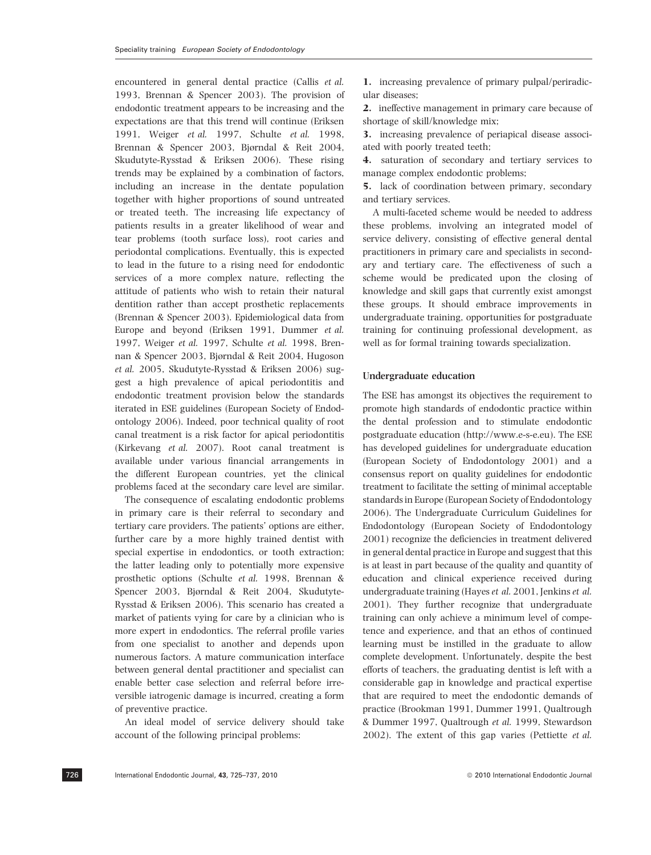encountered in general dental practice (Callis et al. 1993, Brennan & Spencer 2003). The provision of endodontic treatment appears to be increasing and the expectations are that this trend will continue (Eriksen 1991, Weiger et al. 1997, Schulte et al. 1998, Brennan & Spencer 2003, Bjørndal & Reit 2004, Skudutyte-Rysstad & Eriksen 2006). These rising trends may be explained by a combination of factors, including an increase in the dentate population together with higher proportions of sound untreated or treated teeth. The increasing life expectancy of patients results in a greater likelihood of wear and tear problems (tooth surface loss), root caries and periodontal complications. Eventually, this is expected to lead in the future to a rising need for endodontic services of a more complex nature, reflecting the attitude of patients who wish to retain their natural dentition rather than accept prosthetic replacements (Brennan & Spencer 2003). Epidemiological data from Europe and beyond (Eriksen 1991, Dummer et al. 1997, Weiger et al. 1997, Schulte et al. 1998, Brennan & Spencer 2003, Bjørndal & Reit 2004, Hugoson et al. 2005, Skudutyte-Rysstad & Eriksen 2006) suggest a high prevalence of apical periodontitis and endodontic treatment provision below the standards iterated in ESE guidelines (European Society of Endodontology 2006). Indeed, poor technical quality of root canal treatment is a risk factor for apical periodontitis (Kirkevang et al. 2007). Root canal treatment is available under various financial arrangements in the different European countries, yet the clinical problems faced at the secondary care level are similar.

The consequence of escalating endodontic problems in primary care is their referral to secondary and tertiary care providers. The patients' options are either, further care by a more highly trained dentist with special expertise in endodontics, or tooth extraction; the latter leading only to potentially more expensive prosthetic options (Schulte et al. 1998, Brennan & Spencer 2003, Bjørndal & Reit 2004, Skudutyte-Rysstad & Eriksen 2006). This scenario has created a market of patients vying for care by a clinician who is more expert in endodontics. The referral profile varies from one specialist to another and depends upon numerous factors. A mature communication interface between general dental practitioner and specialist can enable better case selection and referral before irreversible iatrogenic damage is incurred, creating a form of preventive practice.

An ideal model of service delivery should take account of the following principal problems:

1. increasing prevalence of primary pulpal/periradicular diseases;

2. ineffective management in primary care because of shortage of skill/knowledge mix;

3. increasing prevalence of periapical disease associated with poorly treated teeth;

4. saturation of secondary and tertiary services to manage complex endodontic problems;

5. lack of coordination between primary, secondary and tertiary services.

A multi-faceted scheme would be needed to address these problems, involving an integrated model of service delivery, consisting of effective general dental practitioners in primary care and specialists in secondary and tertiary care. The effectiveness of such a scheme would be predicated upon the closing of knowledge and skill gaps that currently exist amongst these groups. It should embrace improvements in undergraduate training, opportunities for postgraduate training for continuing professional development, as well as for formal training towards specialization.

### Undergraduate education

The ESE has amongst its objectives the requirement to promote high standards of endodontic practice within the dental profession and to stimulate endodontic postgraduate education (http://www.e-s-e.eu). The ESE has developed guidelines for undergraduate education (European Society of Endodontology 2001) and a consensus report on quality guidelines for endodontic treatment to facilitate the setting of minimal acceptable standards in Europe (European Society of Endodontology 2006). The Undergraduate Curriculum Guidelines for Endodontology (European Society of Endodontology 2001) recognize the deficiencies in treatment delivered in general dental practice in Europe and suggest that this is at least in part because of the quality and quantity of education and clinical experience received during undergraduate training (Hayes et al. 2001, Jenkins et al. 2001). They further recognize that undergraduate training can only achieve a minimum level of competence and experience, and that an ethos of continued learning must be instilled in the graduate to allow complete development. Unfortunately, despite the best efforts of teachers, the graduating dentist is left with a considerable gap in knowledge and practical expertise that are required to meet the endodontic demands of practice (Brookman 1991, Dummer 1991, Qualtrough & Dummer 1997, Qualtrough et al. 1999, Stewardson 2002). The extent of this gap varies (Pettiette et al.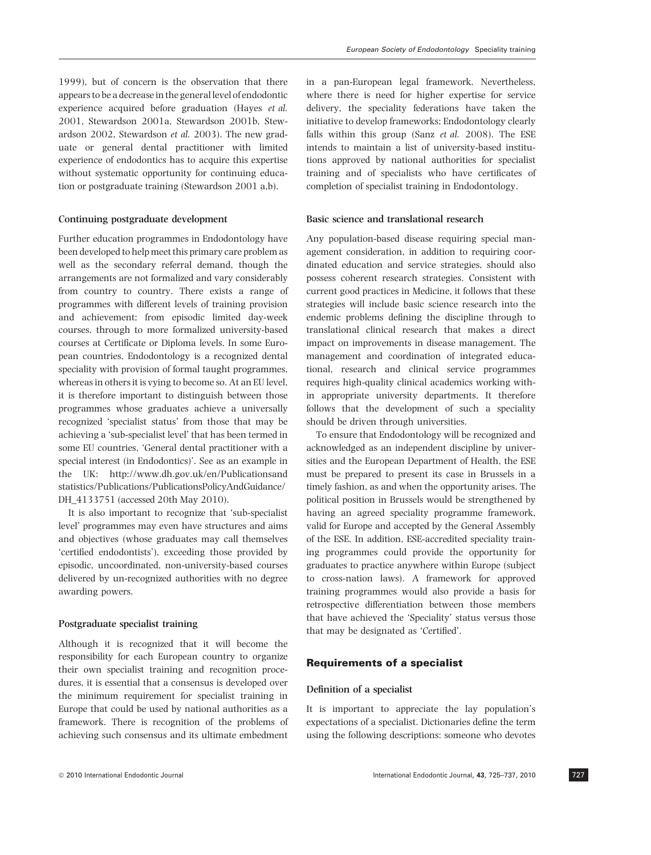1999), but of concern is the observation that there appears to be a decrease in the general level of endodontic experience acquired before graduation (Hayes et al. 2001, Stewardson 2001a, Stewardson 2001b, Stewardson 2002, Stewardson et al. 2003). The new graduate or general dental practitioner with limited experience of endodontics has to acquire this expertise without systematic opportunity for continuing education or postgraduate training (Stewardson 2001 a,b).

### Continuing postgraduate development

Further education programmes in Endodontology have been developed to help meet this primary care problem as well as the secondary referral demand, though the arrangements are not formalized and vary considerably from country to country. There exists a range of programmes with different levels of training provision and achievement; from episodic limited day-week courses, through to more formalized university-based courses at Certificate or Diploma levels. In some European countries, Endodontology is a recognized dental speciality with provision of formal taught programmes, whereas in others it is vying to become so. At an EU level, it is therefore important to distinguish between those programmes whose graduates achieve a universally recognized 'specialist status' from those that may be achieving a 'sub-specialist level' that has been termed in some EU countries, 'General dental practitioner with a special interest (in Endodontics)'. See as an example in the UK: http://www.dh.gov.uk/en/Publicationsand statistics/Publications/PublicationsPolicyAndGuidance/ DH\_4133751 (accessed 20th May 2010).

It is also important to recognize that 'sub-specialist level' programmes may even have structures and aims and objectives (whose graduates may call themselves 'certified endodontists'), exceeding those provided by episodic, uncoordinated, non-university-based courses delivered by un-recognized authorities with no degree awarding powers.

### Postgraduate specialist training

Although it is recognized that it will become the responsibility for each European country to organize their own specialist training and recognition procedures, it is essential that a consensus is developed over the minimum requirement for specialist training in Europe that could be used by national authorities as a framework. There is recognition of the problems of achieving such consensus and its ultimate embedment in a pan-European legal framework. Nevertheless, where there is need for higher expertise for service delivery, the speciality federations have taken the initiative to develop frameworks; Endodontology clearly falls within this group (Sanz et al. 2008). The ESE intends to maintain a list of university-based institutions approved by national authorities for specialist training and of specialists who have certificates of completion of specialist training in Endodontology.

### Basic science and translational research

Any population-based disease requiring special management consideration, in addition to requiring coordinated education and service strategies, should also possess coherent research strategies. Consistent with current good practices in Medicine, it follows that these strategies will include basic science research into the endemic problems defining the discipline through to translational clinical research that makes a direct impact on improvements in disease management. The management and coordination of integrated educational, research and clinical service programmes requires high-quality clinical academics working within appropriate university departments. It therefore follows that the development of such a speciality should be driven through universities.

To ensure that Endodontology will be recognized and acknowledged as an independent discipline by universities and the European Department of Health, the ESE must be prepared to present its case in Brussels in a timely fashion, as and when the opportunity arises. The political position in Brussels would be strengthened by having an agreed speciality programme framework, valid for Europe and accepted by the General Assembly of the ESE. In addition, ESE-accredited speciality training programmes could provide the opportunity for graduates to practice anywhere within Europe (subject to cross-nation laws). A framework for approved training programmes would also provide a basis for retrospective differentiation between those members that have achieved the 'Speciality' status versus those that may be designated as 'Certified'.

### Requirements of a specialist

### Definition of a specialist

It is important to appreciate the lay population's expectations of a specialist. Dictionaries define the term using the following descriptions: someone who devotes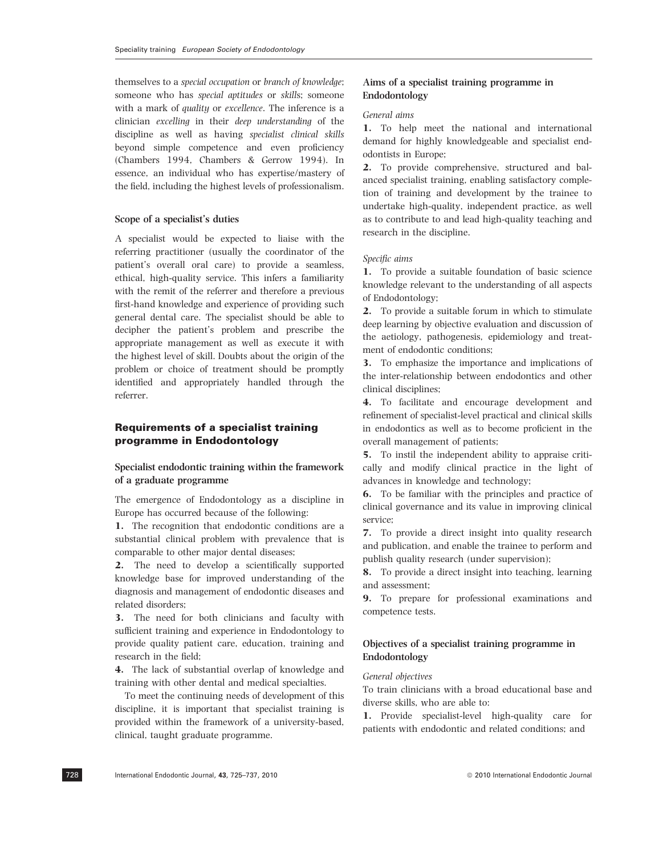themselves to a special occupation or branch of knowledge; someone who has special aptitudes or skills; someone with a mark of *quality* or *excellence*. The inference is a clinician excelling in their deep understanding of the discipline as well as having specialist clinical skills beyond simple competence and even proficiency (Chambers 1994, Chambers & Gerrow 1994). In essence, an individual who has expertise/mastery of the field, including the highest levels of professionalism.

# Scope of a specialist's duties

A specialist would be expected to liaise with the referring practitioner (usually the coordinator of the patient's overall oral care) to provide a seamless, ethical, high-quality service. This infers a familiarity with the remit of the referrer and therefore a previous first-hand knowledge and experience of providing such general dental care. The specialist should be able to decipher the patient's problem and prescribe the appropriate management as well as execute it with the highest level of skill. Doubts about the origin of the problem or choice of treatment should be promptly identified and appropriately handled through the referrer.

# Requirements of a specialist training programme in Endodontology

# Specialist endodontic training within the framework of a graduate programme

The emergence of Endodontology as a discipline in Europe has occurred because of the following:

1. The recognition that endodontic conditions are a substantial clinical problem with prevalence that is comparable to other major dental diseases;

2. The need to develop a scientifically supported knowledge base for improved understanding of the diagnosis and management of endodontic diseases and related disorders;

3. The need for both clinicians and faculty with sufficient training and experience in Endodontology to provide quality patient care, education, training and research in the field;

4. The lack of substantial overlap of knowledge and training with other dental and medical specialties.

To meet the continuing needs of development of this discipline, it is important that specialist training is provided within the framework of a university-based, clinical, taught graduate programme.

# Aims of a specialist training programme in Endodontology

# General aims

1. To help meet the national and international demand for highly knowledgeable and specialist endodontists in Europe;

2. To provide comprehensive, structured and balanced specialist training, enabling satisfactory completion of training and development by the trainee to undertake high-quality, independent practice, as well as to contribute to and lead high-quality teaching and research in the discipline.

### Specific aims

1. To provide a suitable foundation of basic science knowledge relevant to the understanding of all aspects of Endodontology;

2. To provide a suitable forum in which to stimulate deep learning by objective evaluation and discussion of the aetiology, pathogenesis, epidemiology and treatment of endodontic conditions;

3. To emphasize the importance and implications of the inter-relationship between endodontics and other clinical disciplines;

4. To facilitate and encourage development and refinement of specialist-level practical and clinical skills in endodontics as well as to become proficient in the overall management of patients;

5. To instil the independent ability to appraise critically and modify clinical practice in the light of advances in knowledge and technology;

6. To be familiar with the principles and practice of clinical governance and its value in improving clinical service;

7. To provide a direct insight into quality research and publication, and enable the trainee to perform and publish quality research (under supervision);

8. To provide a direct insight into teaching, learning and assessment;

9. To prepare for professional examinations and competence tests.

# Objectives of a specialist training programme in Endodontology

# General objectives

To train clinicians with a broad educational base and diverse skills, who are able to:

1. Provide specialist-level high-quality care for patients with endodontic and related conditions; and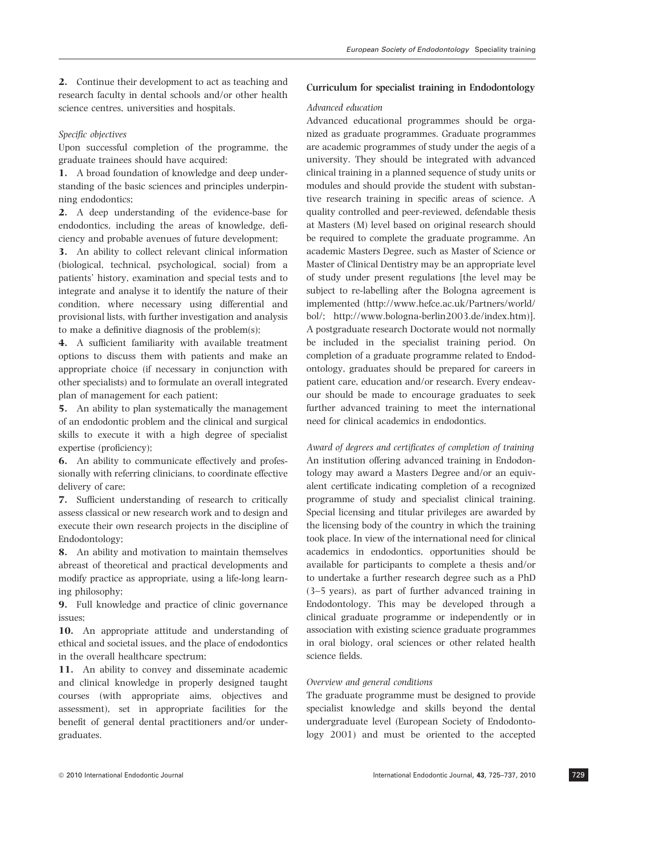2. Continue their development to act as teaching and research faculty in dental schools and/or other health science centres, universities and hospitals.

### Specific objectives

Upon successful completion of the programme, the graduate trainees should have acquired:

1. A broad foundation of knowledge and deep understanding of the basic sciences and principles underpinning endodontics;

2. A deep understanding of the evidence-base for endodontics, including the areas of knowledge, deficiency and probable avenues of future development;

3. An ability to collect relevant clinical information (biological, technical, psychological, social) from a patients' history, examination and special tests and to integrate and analyse it to identify the nature of their condition, where necessary using differential and provisional lists, with further investigation and analysis to make a definitive diagnosis of the problem(s);

4. A sufficient familiarity with available treatment options to discuss them with patients and make an appropriate choice (if necessary in conjunction with other specialists) and to formulate an overall integrated plan of management for each patient;

5. An ability to plan systematically the management of an endodontic problem and the clinical and surgical skills to execute it with a high degree of specialist expertise (proficiency);

6. An ability to communicate effectively and professionally with referring clinicians, to coordinate effective delivery of care;

7. Sufficient understanding of research to critically assess classical or new research work and to design and execute their own research projects in the discipline of Endodontology;

8. An ability and motivation to maintain themselves abreast of theoretical and practical developments and modify practice as appropriate, using a life-long learning philosophy;

9. Full knowledge and practice of clinic governance issues;

10. An appropriate attitude and understanding of ethical and societal issues, and the place of endodontics in the overall healthcare spectrum;

11. An ability to convey and disseminate academic and clinical knowledge in properly designed taught courses (with appropriate aims, objectives and assessment), set in appropriate facilities for the benefit of general dental practitioners and/or undergraduates.

# Curriculum for specialist training in Endodontology

#### Advanced education

Advanced educational programmes should be organized as graduate programmes. Graduate programmes are academic programmes of study under the aegis of a university. They should be integrated with advanced clinical training in a planned sequence of study units or modules and should provide the student with substantive research training in specific areas of science. A quality controlled and peer-reviewed, defendable thesis at Masters (M) level based on original research should be required to complete the graduate programme. An academic Masters Degree, such as Master of Science or Master of Clinical Dentistry may be an appropriate level of study under present regulations [the level may be subject to re-labelling after the Bologna agreement is implemented (http://www.hefce.ac.uk/Partners/world/ bol/; http://www.bologna-berlin2003.de/index.htm)]. A postgraduate research Doctorate would not normally be included in the specialist training period. On completion of a graduate programme related to Endodontology, graduates should be prepared for careers in patient care, education and/or research. Every endeavour should be made to encourage graduates to seek further advanced training to meet the international need for clinical academics in endodontics.

Award of degrees and certificates of completion of training An institution offering advanced training in Endodontology may award a Masters Degree and/or an equivalent certificate indicating completion of a recognized programme of study and specialist clinical training. Special licensing and titular privileges are awarded by the licensing body of the country in which the training took place. In view of the international need for clinical academics in endodontics, opportunities should be available for participants to complete a thesis and/or to undertake a further research degree such as a PhD (3–5 years), as part of further advanced training in Endodontology. This may be developed through a clinical graduate programme or independently or in association with existing science graduate programmes in oral biology, oral sciences or other related health science fields.

### Overview and general conditions

The graduate programme must be designed to provide specialist knowledge and skills beyond the dental undergraduate level (European Society of Endodontology 2001) and must be oriented to the accepted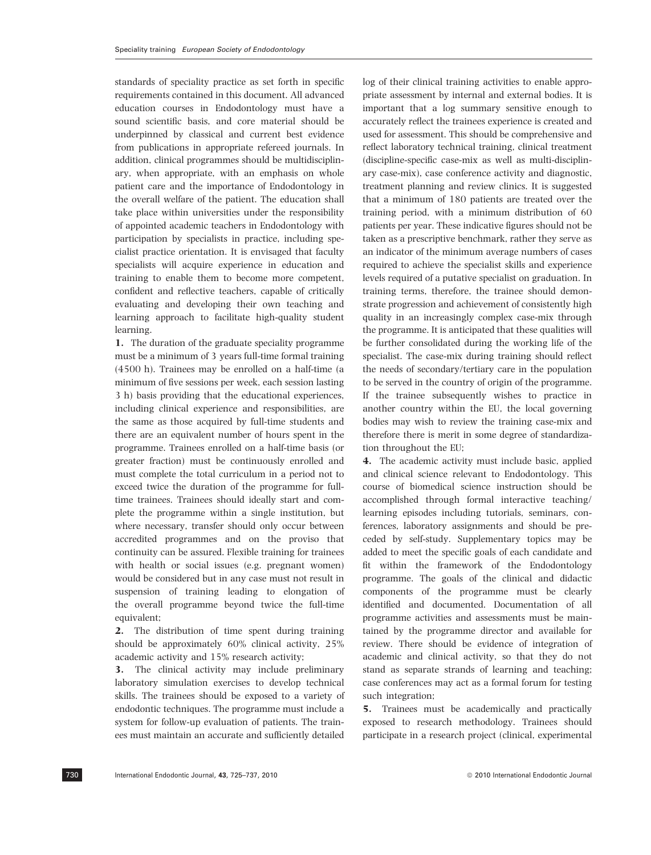standards of speciality practice as set forth in specific requirements contained in this document. All advanced education courses in Endodontology must have a sound scientific basis, and core material should be underpinned by classical and current best evidence from publications in appropriate refereed journals. In addition, clinical programmes should be multidisciplinary, when appropriate, with an emphasis on whole patient care and the importance of Endodontology in the overall welfare of the patient. The education shall take place within universities under the responsibility of appointed academic teachers in Endodontology with participation by specialists in practice, including specialist practice orientation. It is envisaged that faculty specialists will acquire experience in education and training to enable them to become more competent, confident and reflective teachers, capable of critically evaluating and developing their own teaching and learning approach to facilitate high-quality student learning.

1. The duration of the graduate speciality programme must be a minimum of 3 years full-time formal training (4500 h). Trainees may be enrolled on a half-time (a minimum of five sessions per week, each session lasting 3 h) basis providing that the educational experiences, including clinical experience and responsibilities, are the same as those acquired by full-time students and there are an equivalent number of hours spent in the programme. Trainees enrolled on a half-time basis (or greater fraction) must be continuously enrolled and must complete the total curriculum in a period not to exceed twice the duration of the programme for fulltime trainees. Trainees should ideally start and complete the programme within a single institution, but where necessary, transfer should only occur between accredited programmes and on the proviso that continuity can be assured. Flexible training for trainees with health or social issues (e.g. pregnant women) would be considered but in any case must not result in suspension of training leading to elongation of the overall programme beyond twice the full-time equivalent;

2. The distribution of time spent during training should be approximately 60% clinical activity, 25% academic activity and 15% research activity;

3. The clinical activity may include preliminary laboratory simulation exercises to develop technical skills. The trainees should be exposed to a variety of endodontic techniques. The programme must include a system for follow-up evaluation of patients. The trainees must maintain an accurate and sufficiently detailed log of their clinical training activities to enable appropriate assessment by internal and external bodies. It is important that a log summary sensitive enough to accurately reflect the trainees experience is created and used for assessment. This should be comprehensive and reflect laboratory technical training, clinical treatment (discipline-specific case-mix as well as multi-disciplinary case-mix), case conference activity and diagnostic, treatment planning and review clinics. It is suggested that a minimum of 180 patients are treated over the training period, with a minimum distribution of 60 patients per year. These indicative figures should not be taken as a prescriptive benchmark, rather they serve as an indicator of the minimum average numbers of cases required to achieve the specialist skills and experience levels required of a putative specialist on graduation. In training terms, therefore, the trainee should demonstrate progression and achievement of consistently high quality in an increasingly complex case-mix through the programme. It is anticipated that these qualities will be further consolidated during the working life of the specialist. The case-mix during training should reflect the needs of secondary/tertiary care in the population to be served in the country of origin of the programme. If the trainee subsequently wishes to practice in another country within the EU, the local governing bodies may wish to review the training case-mix and therefore there is merit in some degree of standardization throughout the EU;

4. The academic activity must include basic, applied and clinical science relevant to Endodontology. This course of biomedical science instruction should be accomplished through formal interactive teaching/ learning episodes including tutorials, seminars, conferences, laboratory assignments and should be preceded by self-study. Supplementary topics may be added to meet the specific goals of each candidate and fit within the framework of the Endodontology programme. The goals of the clinical and didactic components of the programme must be clearly identified and documented. Documentation of all programme activities and assessments must be maintained by the programme director and available for review. There should be evidence of integration of academic and clinical activity, so that they do not stand as separate strands of learning and teaching; case conferences may act as a formal forum for testing such integration;

5. Trainees must be academically and practically exposed to research methodology. Trainees should participate in a research project (clinical, experimental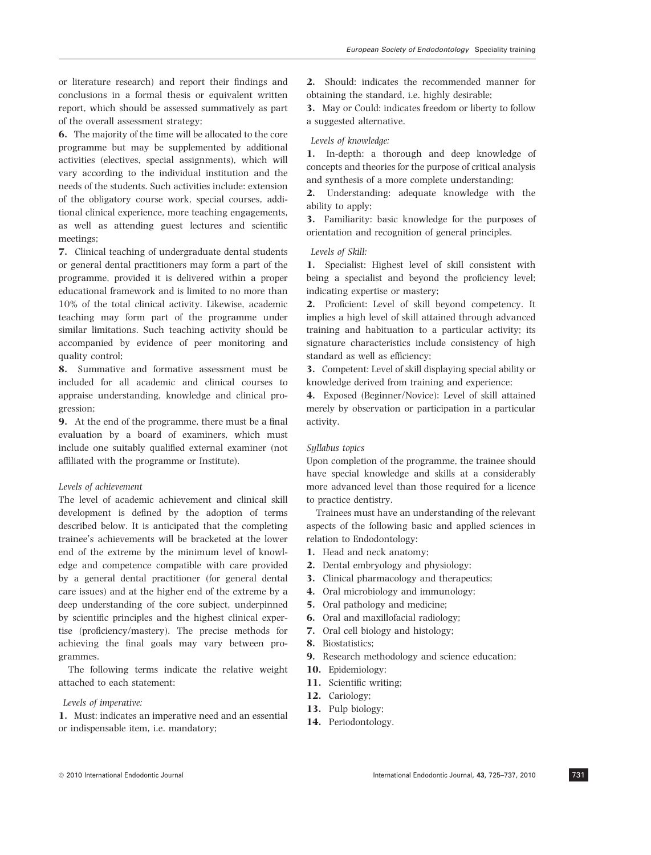or literature research) and report their findings and conclusions in a formal thesis or equivalent written report, which should be assessed summatively as part of the overall assessment strategy;

6. The majority of the time will be allocated to the core programme but may be supplemented by additional activities (electives, special assignments), which will vary according to the individual institution and the needs of the students. Such activities include: extension of the obligatory course work, special courses, additional clinical experience, more teaching engagements, as well as attending guest lectures and scientific meetings;

7. Clinical teaching of undergraduate dental students or general dental practitioners may form a part of the programme, provided it is delivered within a proper educational framework and is limited to no more than 10% of the total clinical activity. Likewise, academic teaching may form part of the programme under similar limitations. Such teaching activity should be accompanied by evidence of peer monitoring and quality control;

8. Summative and formative assessment must be included for all academic and clinical courses to appraise understanding, knowledge and clinical progression;

9. At the end of the programme, there must be a final evaluation by a board of examiners, which must include one suitably qualified external examiner (not affiliated with the programme or Institute).

### Levels of achievement

The level of academic achievement and clinical skill development is defined by the adoption of terms described below. It is anticipated that the completing trainee's achievements will be bracketed at the lower end of the extreme by the minimum level of knowledge and competence compatible with care provided by a general dental practitioner (for general dental care issues) and at the higher end of the extreme by a deep understanding of the core subject, underpinned by scientific principles and the highest clinical expertise (proficiency/mastery). The precise methods for achieving the final goals may vary between programmes.

The following terms indicate the relative weight attached to each statement:

#### Levels of imperative:

1. Must: indicates an imperative need and an essential or indispensable item, i.e. mandatory;

2. Should: indicates the recommended manner for obtaining the standard, i.e. highly desirable;

3. May or Could: indicates freedom or liberty to follow a suggested alternative.

### Levels of knowledge:

1. In-depth: a thorough and deep knowledge of concepts and theories for the purpose of critical analysis and synthesis of a more complete understanding;

2. Understanding: adequate knowledge with the ability to apply;

3. Familiarity: basic knowledge for the purposes of orientation and recognition of general principles.

### Levels of Skill:

1. Specialist: Highest level of skill consistent with being a specialist and beyond the proficiency level; indicating expertise or mastery;

2. Proficient: Level of skill beyond competency. It implies a high level of skill attained through advanced training and habituation to a particular activity; its signature characteristics include consistency of high standard as well as efficiency;

3. Competent: Level of skill displaying special ability or knowledge derived from training and experience;

4. Exposed (Beginner/Novice): Level of skill attained merely by observation or participation in a particular activity.

# Syllabus topics

Upon completion of the programme, the trainee should have special knowledge and skills at a considerably more advanced level than those required for a licence to practice dentistry.

Trainees must have an understanding of the relevant aspects of the following basic and applied sciences in relation to Endodontology:

- 1. Head and neck anatomy;
- 2. Dental embryology and physiology;
- 3. Clinical pharmacology and therapeutics;
- 4. Oral microbiology and immunology;
- 5. Oral pathology and medicine;
- 6. Oral and maxillofacial radiology;
- 7. Oral cell biology and histology;
- 8. Biostatistics;
- 9. Research methodology and science education;
- 10. Epidemiology;
- 11. Scientific writing;
- 12. Cariology;
- 13. Pulp biology;
- 14. Periodontology.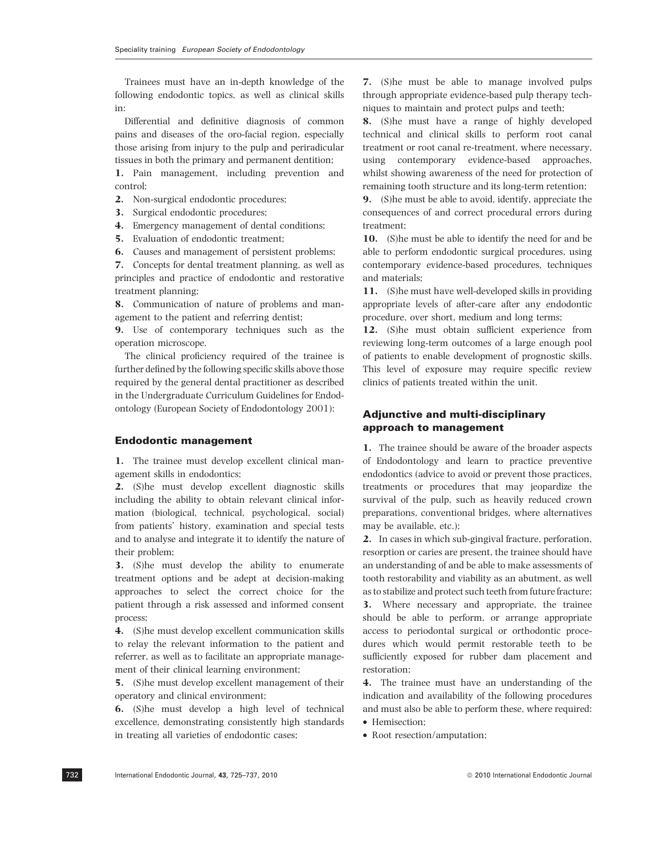Trainees must have an in-depth knowledge of the following endodontic topics, as well as clinical skills in:

Differential and definitive diagnosis of common pains and diseases of the oro-facial region, especially those arising from injury to the pulp and periradicular tissues in both the primary and permanent dentition;

1. Pain management, including prevention and control;

2. Non-surgical endodontic procedures;

- 3. Surgical endodontic procedures;
- 4. Emergency management of dental conditions;
- 5. Evaluation of endodontic treatment;
- 6. Causes and management of persistent problems;

7. Concepts for dental treatment planning, as well as principles and practice of endodontic and restorative treatment planning;

8. Communication of nature of problems and management to the patient and referring dentist;

9. Use of contemporary techniques such as the operation microscope.

The clinical proficiency required of the trainee is further defined by the following specific skills above those required by the general dental practitioner as described in the Undergraduate Curriculum Guidelines for Endodontology (European Society of Endodontology 2001):

#### Endodontic management

1. The trainee must develop excellent clinical management skills in endodontics;

2. (S)he must develop excellent diagnostic skills including the ability to obtain relevant clinical information (biological, technical, psychological, social) from patients' history, examination and special tests and to analyse and integrate it to identify the nature of their problem;

3. (S)he must develop the ability to enumerate treatment options and be adept at decision-making approaches to select the correct choice for the patient through a risk assessed and informed consent process;

4. (S)he must develop excellent communication skills to relay the relevant information to the patient and referrer, as well as to facilitate an appropriate management of their clinical learning environment;

5. (S)he must develop excellent management of their operatory and clinical environment;

6. (S)he must develop a high level of technical excellence, demonstrating consistently high standards in treating all varieties of endodontic cases;

7. (S)he must be able to manage involved pulps through appropriate evidence-based pulp therapy techniques to maintain and protect pulps and teeth;

8. (S)he must have a range of highly developed technical and clinical skills to perform root canal treatment or root canal re-treatment, where necessary, using contemporary evidence-based approaches, whilst showing awareness of the need for protection of remaining tooth structure and its long-term retention;

9. (S)he must be able to avoid, identify, appreciate the consequences of and correct procedural errors during treatment;

10. (S)he must be able to identify the need for and be able to perform endodontic surgical procedures, using contemporary evidence-based procedures, techniques and materials;

11. (S)he must have well-developed skills in providing appropriate levels of after-care after any endodontic procedure, over short, medium and long terms;

12. (S)he must obtain sufficient experience from reviewing long-term outcomes of a large enough pool of patients to enable development of prognostic skills. This level of exposure may require specific review clinics of patients treated within the unit.

# Adjunctive and multi-disciplinary approach to management

1. The trainee should be aware of the broader aspects of Endodontology and learn to practice preventive endodontics (advice to avoid or prevent those practices, treatments or procedures that may jeopardize the survival of the pulp, such as heavily reduced crown preparations, conventional bridges, where alternatives may be available, etc.);

2. In cases in which sub-gingival fracture, perforation, resorption or caries are present, the trainee should have an understanding of and be able to make assessments of tooth restorability and viability as an abutment, as well as to stabilize and protect such teeth from future fracture;

3. Where necessary and appropriate, the trainee should be able to perform, or arrange appropriate access to periodontal surgical or orthodontic procedures which would permit restorable teeth to be sufficiently exposed for rubber dam placement and restoration;

4. The trainee must have an understanding of the indication and availability of the following procedures and must also be able to perform these, where required:

- Hemisection;
- Root resection/amputation;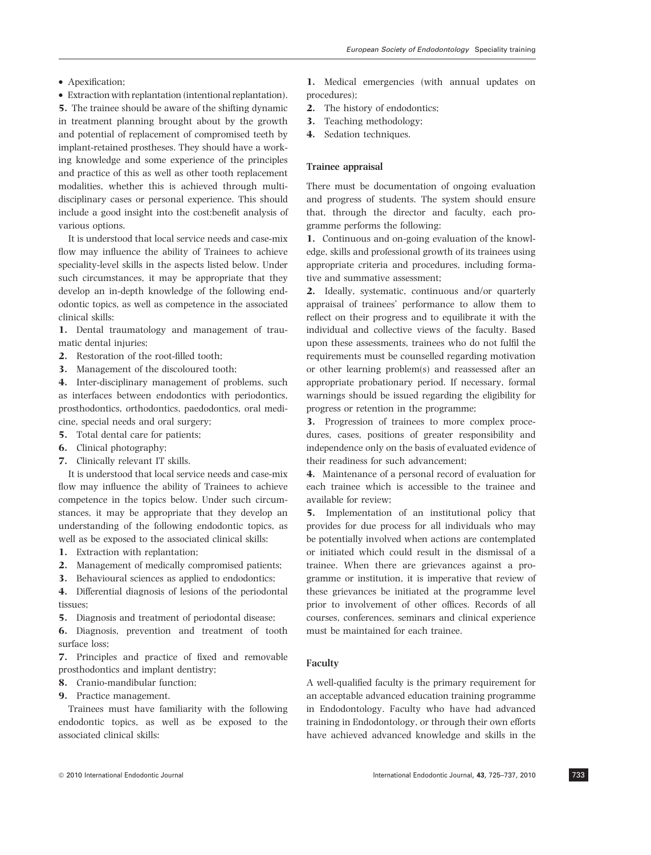- Apexification;
- Extraction with replantation (intentional replantation).

5. The trainee should be aware of the shifting dynamic in treatment planning brought about by the growth and potential of replacement of compromised teeth by implant-retained prostheses. They should have a working knowledge and some experience of the principles and practice of this as well as other tooth replacement modalities, whether this is achieved through multidisciplinary cases or personal experience. This should include a good insight into the cost:benefit analysis of various options.

It is understood that local service needs and case-mix flow may influence the ability of Trainees to achieve speciality-level skills in the aspects listed below. Under such circumstances, it may be appropriate that they develop an in-depth knowledge of the following endodontic topics, as well as competence in the associated clinical skills:

1. Dental traumatology and management of traumatic dental injuries;

- 2. Restoration of the root-filled tooth;
- 3. Management of the discoloured tooth;

4. Inter-disciplinary management of problems, such as interfaces between endodontics with periodontics, prosthodontics, orthodontics, paedodontics, oral medicine, special needs and oral surgery;

- 5. Total dental care for patients;
- 6. Clinical photography;
- 7. Clinically relevant IT skills.

It is understood that local service needs and case-mix flow may influence the ability of Trainees to achieve competence in the topics below. Under such circumstances, it may be appropriate that they develop an understanding of the following endodontic topics, as well as be exposed to the associated clinical skills:

- 1. Extraction with replantation;
- 2. Management of medically compromised patients;
- 3. Behavioural sciences as applied to endodontics;

4. Differential diagnosis of lesions of the periodontal tissues;

5. Diagnosis and treatment of periodontal disease;

6. Diagnosis, prevention and treatment of tooth surface loss;

7. Principles and practice of fixed and removable prosthodontics and implant dentistry;

8. Cranio-mandibular function;

9. Practice management.

Trainees must have familiarity with the following endodontic topics, as well as be exposed to the associated clinical skills:

1. Medical emergencies (with annual updates on procedures);

- 2. The history of endodontics;
- 3. Teaching methodology;
- 4. Sedation techniques.

### Trainee appraisal

There must be documentation of ongoing evaluation and progress of students. The system should ensure that, through the director and faculty, each programme performs the following:

1. Continuous and on-going evaluation of the knowledge, skills and professional growth of its trainees using appropriate criteria and procedures, including formative and summative assessment;

2. Ideally, systematic, continuous and/or quarterly appraisal of trainees' performance to allow them to reflect on their progress and to equilibrate it with the individual and collective views of the faculty. Based upon these assessments, trainees who do not fulfil the requirements must be counselled regarding motivation or other learning problem(s) and reassessed after an appropriate probationary period. If necessary, formal warnings should be issued regarding the eligibility for progress or retention in the programme;

3. Progression of trainees to more complex procedures, cases, positions of greater responsibility and independence only on the basis of evaluated evidence of their readiness for such advancement;

4. Maintenance of a personal record of evaluation for each trainee which is accessible to the trainee and available for review;

5. Implementation of an institutional policy that provides for due process for all individuals who may be potentially involved when actions are contemplated or initiated which could result in the dismissal of a trainee. When there are grievances against a programme or institution, it is imperative that review of these grievances be initiated at the programme level prior to involvement of other offices. Records of all courses, conferences, seminars and clinical experience must be maintained for each trainee.

### Faculty

A well-qualified faculty is the primary requirement for an acceptable advanced education training programme in Endodontology. Faculty who have had advanced training in Endodontology, or through their own efforts have achieved advanced knowledge and skills in the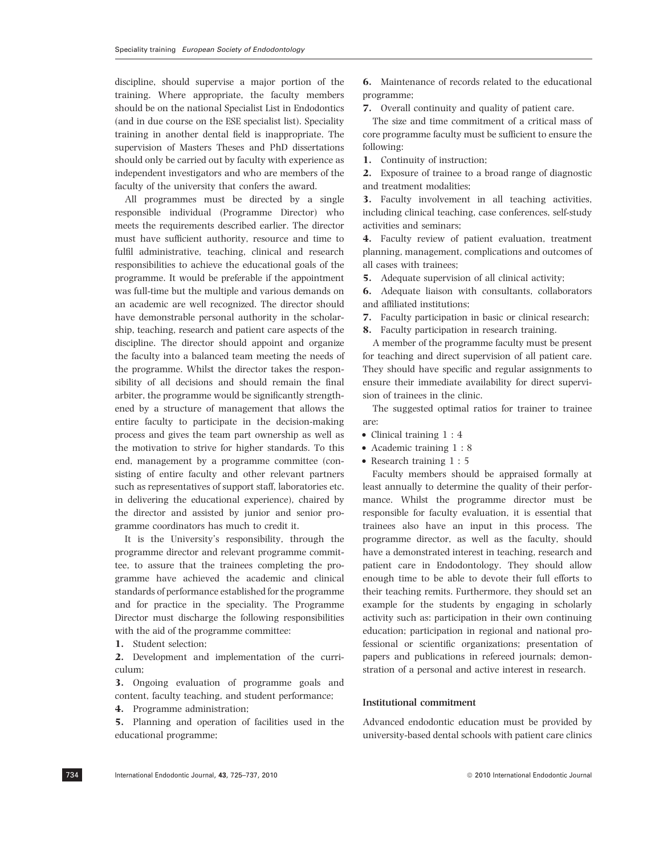discipline, should supervise a major portion of the training. Where appropriate, the faculty members should be on the national Specialist List in Endodontics (and in due course on the ESE specialist list). Speciality training in another dental field is inappropriate. The supervision of Masters Theses and PhD dissertations should only be carried out by faculty with experience as independent investigators and who are members of the faculty of the university that confers the award.

All programmes must be directed by a single responsible individual (Programme Director) who meets the requirements described earlier. The director must have sufficient authority, resource and time to fulfil administrative, teaching, clinical and research responsibilities to achieve the educational goals of the programme. It would be preferable if the appointment was full-time but the multiple and various demands on an academic are well recognized. The director should have demonstrable personal authority in the scholarship, teaching, research and patient care aspects of the discipline. The director should appoint and organize the faculty into a balanced team meeting the needs of the programme. Whilst the director takes the responsibility of all decisions and should remain the final arbiter, the programme would be significantly strengthened by a structure of management that allows the entire faculty to participate in the decision-making process and gives the team part ownership as well as the motivation to strive for higher standards. To this end, management by a programme committee (consisting of entire faculty and other relevant partners such as representatives of support staff, laboratories etc. in delivering the educational experience), chaired by the director and assisted by junior and senior programme coordinators has much to credit it.

It is the University's responsibility, through the programme director and relevant programme committee, to assure that the trainees completing the programme have achieved the academic and clinical standards of performance established for the programme and for practice in the speciality. The Programme Director must discharge the following responsibilities with the aid of the programme committee:

1. Student selection;

2. Development and implementation of the curriculum;

3. Ongoing evaluation of programme goals and content, faculty teaching, and student performance;

4. Programme administration;

5. Planning and operation of facilities used in the educational programme;

6. Maintenance of records related to the educational programme;

7. Overall continuity and quality of patient care.

The size and time commitment of a critical mass of core programme faculty must be sufficient to ensure the following:

1. Continuity of instruction;

2. Exposure of trainee to a broad range of diagnostic and treatment modalities;

3. Faculty involvement in all teaching activities, including clinical teaching, case conferences, self-study activities and seminars;

4. Faculty review of patient evaluation, treatment planning, management, complications and outcomes of all cases with trainees;

5. Adequate supervision of all clinical activity;

6. Adequate liaison with consultants, collaborators and affiliated institutions;

7. Faculty participation in basic or clinical research;

8. Faculty participation in research training.

A member of the programme faculty must be present for teaching and direct supervision of all patient care. They should have specific and regular assignments to ensure their immediate availability for direct supervision of trainees in the clinic.

The suggested optimal ratios for trainer to trainee are:

- Clinical training 1 : 4
- Academic training 1 : 8
- Research training 1 : 5

Faculty members should be appraised formally at least annually to determine the quality of their performance. Whilst the programme director must be responsible for faculty evaluation, it is essential that trainees also have an input in this process. The programme director, as well as the faculty, should have a demonstrated interest in teaching, research and patient care in Endodontology. They should allow enough time to be able to devote their full efforts to their teaching remits. Furthermore, they should set an example for the students by engaging in scholarly activity such as: participation in their own continuing education; participation in regional and national professional or scientific organizations; presentation of papers and publications in refereed journals; demonstration of a personal and active interest in research.

### Institutional commitment

Advanced endodontic education must be provided by university-based dental schools with patient care clinics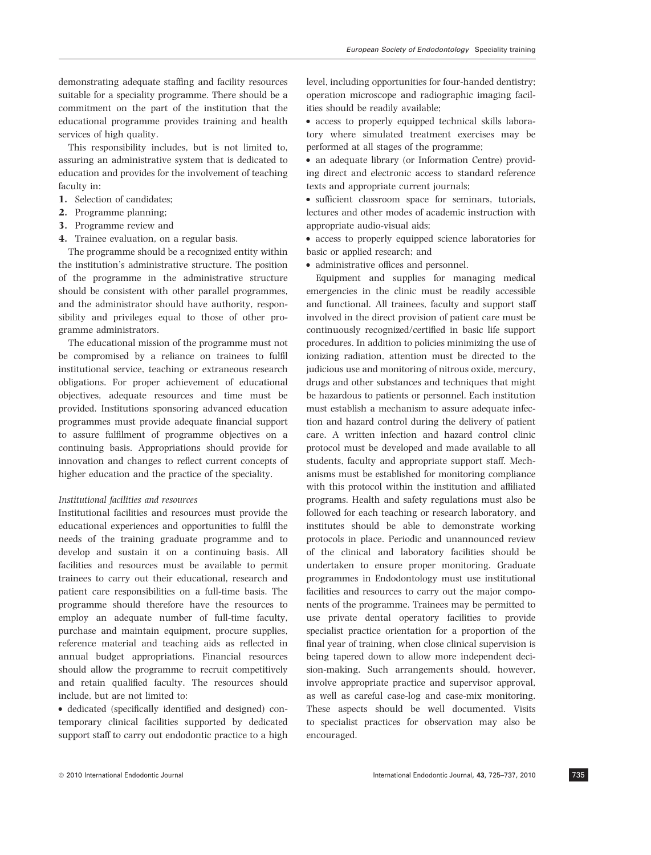demonstrating adequate staffing and facility resources suitable for a speciality programme. There should be a commitment on the part of the institution that the educational programme provides training and health services of high quality.

This responsibility includes, but is not limited to, assuring an administrative system that is dedicated to education and provides for the involvement of teaching faculty in:

- 1. Selection of candidates;
- 2. Programme planning;
- 3. Programme review and
- 4. Trainee evaluation, on a regular basis.

The programme should be a recognized entity within the institution's administrative structure. The position of the programme in the administrative structure should be consistent with other parallel programmes, and the administrator should have authority, responsibility and privileges equal to those of other programme administrators.

The educational mission of the programme must not be compromised by a reliance on trainees to fulfil institutional service, teaching or extraneous research obligations. For proper achievement of educational objectives, adequate resources and time must be provided. Institutions sponsoring advanced education programmes must provide adequate financial support to assure fulfilment of programme objectives on a continuing basis. Appropriations should provide for innovation and changes to reflect current concepts of higher education and the practice of the speciality.

# Institutional facilities and resources

Institutional facilities and resources must provide the educational experiences and opportunities to fulfil the needs of the training graduate programme and to develop and sustain it on a continuing basis. All facilities and resources must be available to permit trainees to carry out their educational, research and patient care responsibilities on a full-time basis. The programme should therefore have the resources to employ an adequate number of full-time faculty, purchase and maintain equipment, procure supplies, reference material and teaching aids as reflected in annual budget appropriations. Financial resources should allow the programme to recruit competitively and retain qualified faculty. The resources should include, but are not limited to:

• dedicated (specifically identified and designed) contemporary clinical facilities supported by dedicated support staff to carry out endodontic practice to a high level, including opportunities for four-handed dentistry; operation microscope and radiographic imaging facilities should be readily available;

• access to properly equipped technical skills laboratory where simulated treatment exercises may be performed at all stages of the programme;

• an adequate library (or Information Centre) providing direct and electronic access to standard reference texts and appropriate current journals;

• sufficient classroom space for seminars, tutorials, lectures and other modes of academic instruction with appropriate audio-visual aids;

• access to properly equipped science laboratories for basic or applied research; and

• administrative offices and personnel.

Equipment and supplies for managing medical emergencies in the clinic must be readily accessible and functional. All trainees, faculty and support staff involved in the direct provision of patient care must be continuously recognized/certified in basic life support procedures. In addition to policies minimizing the use of ionizing radiation, attention must be directed to the judicious use and monitoring of nitrous oxide, mercury, drugs and other substances and techniques that might be hazardous to patients or personnel. Each institution must establish a mechanism to assure adequate infection and hazard control during the delivery of patient care. A written infection and hazard control clinic protocol must be developed and made available to all students, faculty and appropriate support staff. Mechanisms must be established for monitoring compliance with this protocol within the institution and affiliated programs. Health and safety regulations must also be followed for each teaching or research laboratory, and institutes should be able to demonstrate working protocols in place. Periodic and unannounced review of the clinical and laboratory facilities should be undertaken to ensure proper monitoring. Graduate programmes in Endodontology must use institutional facilities and resources to carry out the major components of the programme. Trainees may be permitted to use private dental operatory facilities to provide specialist practice orientation for a proportion of the final year of training, when close clinical supervision is being tapered down to allow more independent decision-making. Such arrangements should, however, involve appropriate practice and supervisor approval, as well as careful case-log and case-mix monitoring. These aspects should be well documented. Visits to specialist practices for observation may also be encouraged.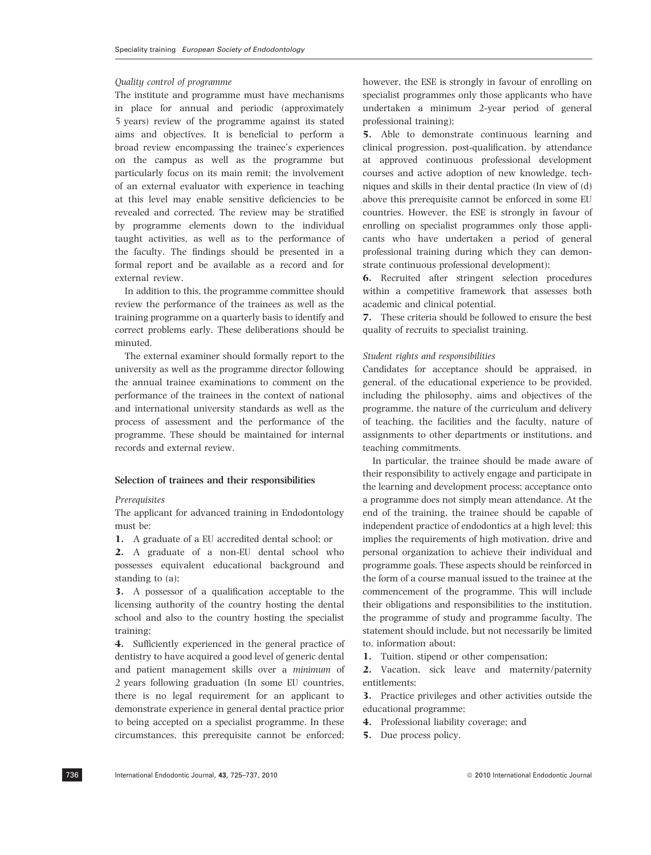### Quality control of programme

The institute and programme must have mechanisms in place for annual and periodic (approximately 5 years) review of the programme against its stated aims and objectives. It is beneficial to perform a broad review encompassing the trainee's experiences on the campus as well as the programme but particularly focus on its main remit; the involvement of an external evaluator with experience in teaching at this level may enable sensitive deficiencies to be revealed and corrected. The review may be stratified by programme elements down to the individual taught activities, as well as to the performance of the faculty. The findings should be presented in a formal report and be available as a record and for external review.

In addition to this, the programme committee should review the performance of the trainees as well as the training programme on a quarterly basis to identify and correct problems early. These deliberations should be minuted.

The external examiner should formally report to the university as well as the programme director following the annual trainee examinations to comment on the performance of the trainees in the context of national and international university standards as well as the process of assessment and the performance of the programme. These should be maintained for internal records and external review.

#### Selection of trainees and their responsibilities

#### **Prerequisites**

The applicant for advanced training in Endodontology must be:

1. A graduate of a EU accredited dental school; or

2. A graduate of a non-EU dental school who possesses equivalent educational background and standing to (a);

3. A possessor of a qualification acceptable to the licensing authority of the country hosting the dental school and also to the country hosting the specialist training;

4. Sufficiently experienced in the general practice of dentistry to have acquired a good level of generic dental and patient management skills over a minimum of 2 years following graduation (In some EU countries, there is no legal requirement for an applicant to demonstrate experience in general dental practice prior to being accepted on a specialist programme. In these circumstances, this prerequisite cannot be enforced; however, the ESE is strongly in favour of enrolling on specialist programmes only those applicants who have undertaken a minimum 2-year period of general professional training);

5. Able to demonstrate continuous learning and clinical progression, post-qualification, by attendance at approved continuous professional development courses and active adoption of new knowledge, techniques and skills in their dental practice (In view of (d) above this prerequisite cannot be enforced in some EU countries. However, the ESE is strongly in favour of enrolling on specialist programmes only those applicants who have undertaken a period of general professional training during which they can demonstrate continuous professional development);

6. Recruited after stringent selection procedures within a competitive framework that assesses both academic and clinical potential.

7. These criteria should be followed to ensure the best quality of recruits to specialist training.

### Student rights and responsibilities

Candidates for acceptance should be appraised, in general, of the educational experience to be provided, including the philosophy, aims and objectives of the programme, the nature of the curriculum and delivery of teaching, the facilities and the faculty, nature of assignments to other departments or institutions, and teaching commitments.

In particular, the trainee should be made aware of their responsibility to actively engage and participate in the learning and development process; acceptance onto a programme does not simply mean attendance. At the end of the training, the trainee should be capable of independent practice of endodontics at a high level; this implies the requirements of high motivation, drive and personal organization to achieve their individual and programme goals. These aspects should be reinforced in the form of a course manual issued to the trainee at the commencement of the programme. This will include their obligations and responsibilities to the institution, the programme of study and programme faculty. The statement should include, but not necessarily be limited to, information about:

1. Tuition, stipend or other compensation;

2. Vacation, sick leave and maternity/paternity entitlements;

3. Practice privileges and other activities outside the educational programme;

4. Professional liability coverage; and

5. Due process policy.